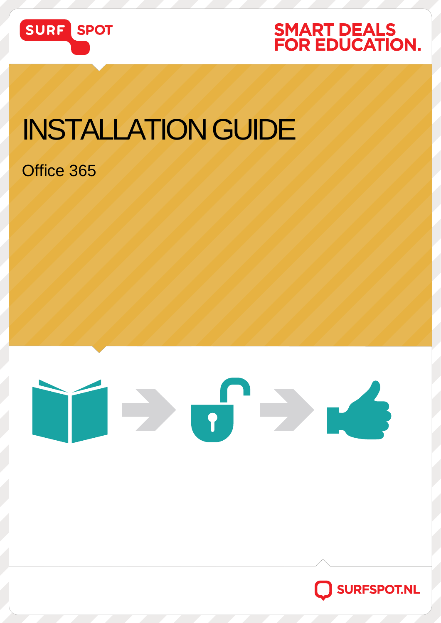

## **SMART DEALS<br>FOR EDUCATION.**

## INSTALLATION GUIDE

### Office 365



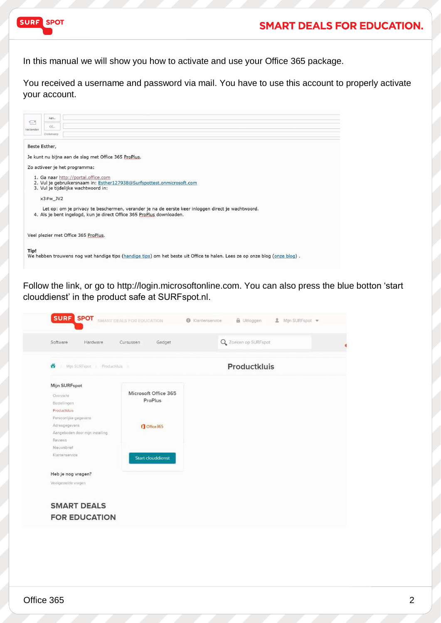

#### **SMART DEALS FOR EDUCATION.**

In this manual we will show you how to activate and use your Office 365 package.

You received a username and password via mail. You have to use this account to properly activate your account.

|                                                                                                                                                      |                                             | Aan                                                                                               |                                                                                                                            |  |  |  |  |
|------------------------------------------------------------------------------------------------------------------------------------------------------|---------------------------------------------|---------------------------------------------------------------------------------------------------|----------------------------------------------------------------------------------------------------------------------------|--|--|--|--|
|                                                                                                                                                      | $\overline{\epsilon} = \overline{\epsilon}$ | CC                                                                                                |                                                                                                                            |  |  |  |  |
|                                                                                                                                                      | Verzenden                                   |                                                                                                   |                                                                                                                            |  |  |  |  |
|                                                                                                                                                      |                                             | Onderwerp                                                                                         |                                                                                                                            |  |  |  |  |
|                                                                                                                                                      |                                             |                                                                                                   |                                                                                                                            |  |  |  |  |
|                                                                                                                                                      | Beste Esther,                               |                                                                                                   | Je kunt nu bijna aan de slag met Office 365 ProPlus.                                                                       |  |  |  |  |
|                                                                                                                                                      |                                             |                                                                                                   | Zo activeer je het programma:                                                                                              |  |  |  |  |
|                                                                                                                                                      |                                             |                                                                                                   |                                                                                                                            |  |  |  |  |
| 1. Ga naar http://portal.office.com<br>2. Vul je gebruikersnaam in: Esther127938@Surfspottest.onmicrosoft.com<br>3. Vul je tijdelijke wachtwoord in: |                                             |                                                                                                   |                                                                                                                            |  |  |  |  |
|                                                                                                                                                      |                                             |                                                                                                   |                                                                                                                            |  |  |  |  |
|                                                                                                                                                      |                                             | $x3#w$ JV2                                                                                        |                                                                                                                            |  |  |  |  |
|                                                                                                                                                      |                                             |                                                                                                   |                                                                                                                            |  |  |  |  |
|                                                                                                                                                      |                                             | Let op: om je privacy te beschermen, verander je na de eerste keer inloggen direct je wachtwoord. |                                                                                                                            |  |  |  |  |
|                                                                                                                                                      |                                             |                                                                                                   |                                                                                                                            |  |  |  |  |
|                                                                                                                                                      |                                             |                                                                                                   | 4. Als je bent ingelogd, kun je direct Office 365 ProPlus downloaden.                                                      |  |  |  |  |
|                                                                                                                                                      |                                             |                                                                                                   |                                                                                                                            |  |  |  |  |
|                                                                                                                                                      |                                             |                                                                                                   |                                                                                                                            |  |  |  |  |
| Veel plezier met Office 365 ProPlus.                                                                                                                 |                                             |                                                                                                   |                                                                                                                            |  |  |  |  |
|                                                                                                                                                      |                                             |                                                                                                   |                                                                                                                            |  |  |  |  |
|                                                                                                                                                      |                                             |                                                                                                   |                                                                                                                            |  |  |  |  |
|                                                                                                                                                      | Tip!                                        |                                                                                                   |                                                                                                                            |  |  |  |  |
|                                                                                                                                                      |                                             |                                                                                                   | We hebben trouwens nog wat handige tips (handige tips) om het beste uit Office te halen. Lees ze op onze blog (onze blog). |  |  |  |  |
|                                                                                                                                                      |                                             |                                                                                                   |                                                                                                                            |  |  |  |  |

Follow the link, or go to [http://login.microsoftonline.com.](http://login.microsoftonline.com/) You can also press the blue botton 'start clouddienst' in the product safe at SURFspot.nl.

| Software<br>Hardware                  | Gadget<br>Cursussen      | Q Zoeken op SURFspot |
|---------------------------------------|--------------------------|----------------------|
| ô<br>3 Mijn SURFspot > Productkluis > |                          | <b>Productkluis</b>  |
| Mijn SURFspot                         |                          |                      |
| Overzicht                             | Microsoft Office 365     |                      |
| Bestellingen                          | ProPlus                  |                      |
| Productkluis                          |                          |                      |
| Persoonlijke gegevens                 |                          |                      |
| Adresgegevens                         | Office 365               |                      |
| Aangeboden door mijn instelling       |                          |                      |
| Reviews                               |                          |                      |
| Nieuwsbrief                           |                          |                      |
| Klantenservice                        | <b>Start clouddienst</b> |                      |
| Heb je nog vragen?                    |                          |                      |
| Veelgestelde vragen                   |                          |                      |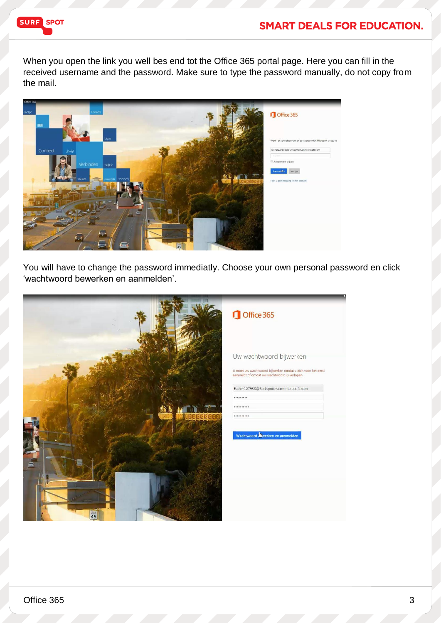

#### **SMART DEALS FOR EDUCATION.**

When you open the link you well bes end tot the Office 365 portal page. Here you can fill in the received username and the password. Make sure to type the password manually, do not copy from the mail.



You will have to change the password immediatly. Choose your own personal password en click 'wachtwoord bewerken en aanmelden'.

|                        | Office 365                                                                                                                            |
|------------------------|---------------------------------------------------------------------------------------------------------------------------------------|
|                        | Uw wachtwoord bijwerken<br>U moet uw wachtwoord bijwerken omdat u zich voor het eerst<br>aanmeldt of omdat uw wachtwoord is verlopen. |
|                        | Esther127938@Surfspottest.onmicrosoft.com<br><br>                                                                                     |
| SENARIN<br>$\triangle$ | <br>Wachtwoord Wwerken en aanmelden                                                                                                   |
| 45                     |                                                                                                                                       |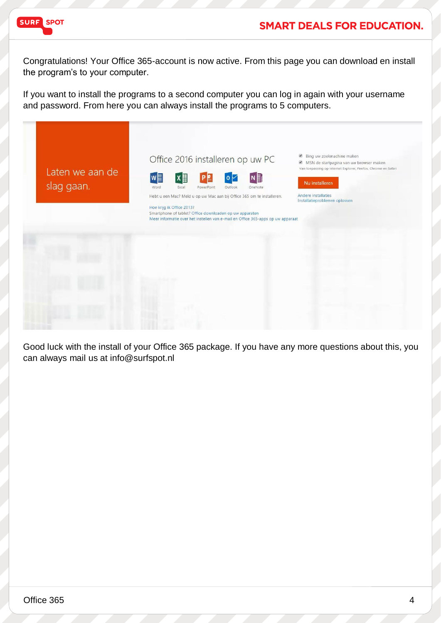

#### **SMART DEALS FOR EDUCATION.**

Congratulations! Your Office 365-account is now active. From this page you can download en install the program's to your computer.

If you want to install the programs to a second computer you can log in again with your username and password. From here you can always install the programs to 5 computers.



Good luck with the install of your Office 365 package. If you have any more questions about this, you can always mail us at info@surfspot.nl